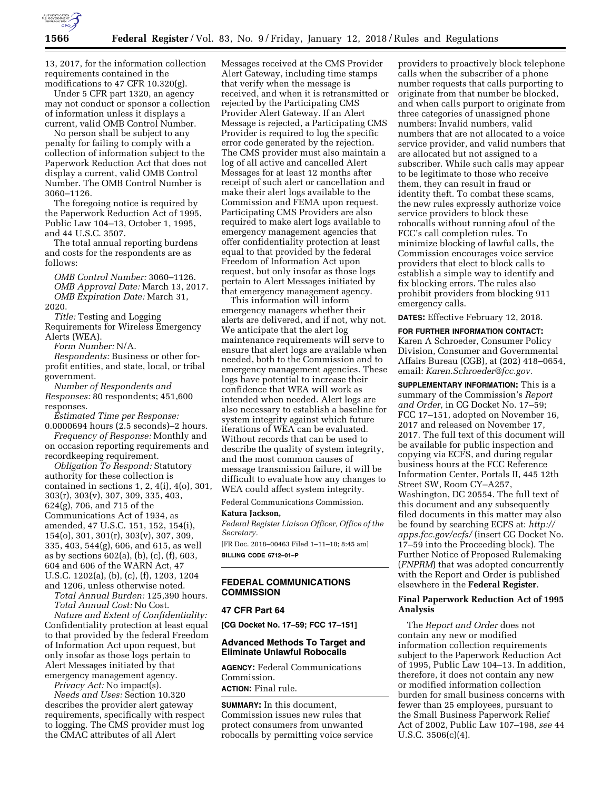

13, 2017, for the information collection requirements contained in the modifications to 47 CFR 10.320(g).

Under 5 CFR part 1320, an agency may not conduct or sponsor a collection of information unless it displays a current, valid OMB Control Number.

No person shall be subject to any penalty for failing to comply with a collection of information subject to the Paperwork Reduction Act that does not display a current, valid OMB Control Number. The OMB Control Number is 3060–1126.

The foregoing notice is required by the Paperwork Reduction Act of 1995, Public Law 104–13, October 1, 1995, and 44 U.S.C. 3507.

The total annual reporting burdens and costs for the respondents are as follows:

*OMB Control Number:* 3060–1126. *OMB Approval Date:* March 13, 2017. *OMB Expiration Date:* March 31, 2020.

*Title:* Testing and Logging Requirements for Wireless Emergency Alerts (WEA).

*Form Number:* N/A.

*Respondents:* Business or other forprofit entities, and state, local, or tribal government.

*Number of Respondents and Responses:* 80 respondents; 451,600 responses.

*Estimated Time per Response:*  0.0000694 hours (2.5 seconds)–2 hours.

*Frequency of Response:* Monthly and on occasion reporting requirements and recordkeeping requirement.

*Obligation To Respond:* Statutory authority for these collection is contained in sections 1, 2, 4(i), 4(o), 301, 303(r), 303(v), 307, 309, 335, 403, 624(g), 706, and 715 of the Communications Act of 1934, as amended, 47 U.S.C. 151, 152, 154(i), 154(o), 301, 301(r), 303(v), 307, 309, 335, 403, 544(g), 606, and 615, as well as by sections 602(a), (b), (c), (f), 603, 604 and 606 of the WARN Act, 47 U.S.C. 1202(a), (b), (c), (f), 1203, 1204 and 1206, unless otherwise noted.

*Total Annual Burden:* 125,390 hours. *Total Annual Cost:* No Cost.

*Nature and Extent of Confidentiality:*  Confidentiality protection at least equal to that provided by the federal Freedom of Information Act upon request, but only insofar as those logs pertain to Alert Messages initiated by that emergency management agency.

*Privacy Act:* No impact(s).

*Needs and Uses:* Section 10.320 describes the provider alert gateway requirements, specifically with respect to logging. The CMS provider must log the CMAC attributes of all Alert

Messages received at the CMS Provider Alert Gateway, including time stamps that verify when the message is received, and when it is retransmitted or rejected by the Participating CMS Provider Alert Gateway. If an Alert Message is rejected, a Participating CMS Provider is required to log the specific error code generated by the rejection. The CMS provider must also maintain a log of all active and cancelled Alert Messages for at least 12 months after receipt of such alert or cancellation and make their alert logs available to the Commission and FEMA upon request. Participating CMS Providers are also required to make alert logs available to emergency management agencies that offer confidentiality protection at least equal to that provided by the federal Freedom of Information Act upon request, but only insofar as those logs pertain to Alert Messages initiated by that emergency management agency.

This information will inform emergency managers whether their alerts are delivered, and if not, why not. We anticipate that the alert log maintenance requirements will serve to ensure that alert logs are available when needed, both to the Commission and to emergency management agencies. These logs have potential to increase their confidence that WEA will work as intended when needed. Alert logs are also necessary to establish a baseline for system integrity against which future iterations of WEA can be evaluated. Without records that can be used to describe the quality of system integrity, and the most common causes of message transmission failure, it will be difficult to evaluate how any changes to WEA could affect system integrity.

Federal Communications Commission.

### **Katura Jackson,**

*Federal Register Liaison Officer, Office of the Secretary.* 

[FR Doc. 2018–00463 Filed 1–11–18; 8:45 am] **BILLING CODE 6712–01–P** 

# **FEDERAL COMMUNICATIONS COMMISSION**

### **47 CFR Part 64**

**[CG Docket No. 17–59; FCC 17–151]** 

# **Advanced Methods To Target and Eliminate Unlawful Robocalls**

**AGENCY:** Federal Communications Commission. **ACTION:** Final rule.

**SUMMARY:** In this document, Commission issues new rules that protect consumers from unwanted robocalls by permitting voice service

providers to proactively block telephone calls when the subscriber of a phone number requests that calls purporting to originate from that number be blocked, and when calls purport to originate from three categories of unassigned phone numbers: Invalid numbers, valid numbers that are not allocated to a voice service provider, and valid numbers that are allocated but not assigned to a subscriber. While such calls may appear to be legitimate to those who receive them, they can result in fraud or identity theft. To combat these scams, the new rules expressly authorize voice service providers to block these robocalls without running afoul of the FCC's call completion rules. To minimize blocking of lawful calls, the Commission encourages voice service providers that elect to block calls to establish a simple way to identify and fix blocking errors. The rules also prohibit providers from blocking 911 emergency calls.

**DATES:** Effective February 12, 2018.

**FOR FURTHER INFORMATION CONTACT:**  Karen A Schroeder, Consumer Policy Division, Consumer and Governmental Affairs Bureau (CGB), at (202) 418–0654, email: *[Karen.Schroeder@fcc.gov.](mailto:Karen.Schroeder@fcc.gov)* 

**SUPPLEMENTARY INFORMATION:** This is a summary of the Commission's *Report and Order,* in CG Docket No. 17–59; FCC 17–151, adopted on November 16, 2017 and released on November 17, 2017. The full text of this document will be available for public inspection and copying via ECFS, and during regular business hours at the FCC Reference Information Center, Portals II, 445 12th Street SW, Room CY–A257, Washington, DC 20554. The full text of this document and any subsequently filed documents in this matter may also be found by searching ECFS at: *[http://](http://apps.fcc.gov/ecfs/) [apps.fcc.gov/ecfs/](http://apps.fcc.gov/ecfs/)* (insert CG Docket No. 17–59 into the Proceeding block). The Further Notice of Proposed Rulemaking (*FNPRM*) that was adopted concurrently with the Report and Order is published elsewhere in the **Federal Register**.

# **Final Paperwork Reduction Act of 1995 Analysis**

The *Report and Order* does not contain any new or modified information collection requirements subject to the Paperwork Reduction Act of 1995, Public Law 104–13. In addition, therefore, it does not contain any new or modified information collection burden for small business concerns with fewer than 25 employees, pursuant to the Small Business Paperwork Relief Act of 2002, Public Law 107–198, *see* 44 U.S.C. 3506(c)(4).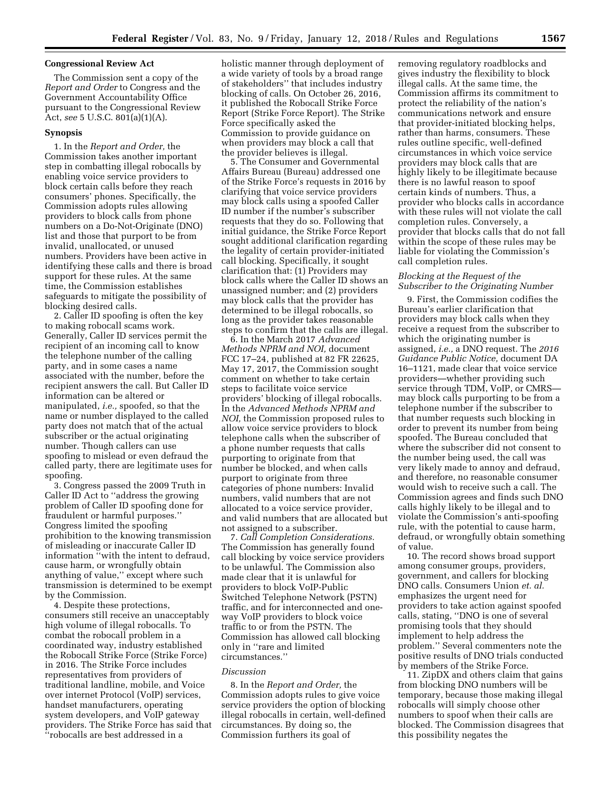## **Congressional Review Act**

The Commission sent a copy of the *Report and Order* to Congress and the Government Accountability Office pursuant to the Congressional Review Act, *see* 5 U.S.C. 801(a)(1)(A).

## **Synopsis**

1. In the *Report and Order,* the Commission takes another important step in combatting illegal robocalls by enabling voice service providers to block certain calls before they reach consumers' phones. Specifically, the Commission adopts rules allowing providers to block calls from phone numbers on a Do-Not-Originate (DNO) list and those that purport to be from invalid, unallocated, or unused numbers. Providers have been active in identifying these calls and there is broad support for these rules. At the same time, the Commission establishes safeguards to mitigate the possibility of blocking desired calls.

2. Caller ID spoofing is often the key to making robocall scams work. Generally, Caller ID services permit the recipient of an incoming call to know the telephone number of the calling party, and in some cases a name associated with the number, before the recipient answers the call. But Caller ID information can be altered or manipulated, *i.e.,* spoofed, so that the name or number displayed to the called party does not match that of the actual subscriber or the actual originating number. Though callers can use spoofing to mislead or even defraud the called party, there are legitimate uses for spoofing.

3. Congress passed the 2009 Truth in Caller ID Act to ''address the growing problem of Caller ID spoofing done for fraudulent or harmful purposes.'' Congress limited the spoofing prohibition to the knowing transmission of misleading or inaccurate Caller ID information ''with the intent to defraud, cause harm, or wrongfully obtain anything of value,'' except where such transmission is determined to be exempt by the Commission.

4. Despite these protections, consumers still receive an unacceptably high volume of illegal robocalls. To combat the robocall problem in a coordinated way, industry established the Robocall Strike Force (Strike Force) in 2016. The Strike Force includes representatives from providers of traditional landline, mobile, and Voice over internet Protocol (VoIP) services, handset manufacturers, operating system developers, and VoIP gateway providers. The Strike Force has said that ''robocalls are best addressed in a

holistic manner through deployment of a wide variety of tools by a broad range of stakeholders'' that includes industry blocking of calls. On October 26, 2016, it published the Robocall Strike Force Report (Strike Force Report). The Strike Force specifically asked the Commission to provide guidance on when providers may block a call that the provider believes is illegal.

5. The Consumer and Governmental Affairs Bureau (Bureau) addressed one of the Strike Force's requests in 2016 by clarifying that voice service providers may block calls using a spoofed Caller ID number if the number's subscriber requests that they do so. Following that initial guidance, the Strike Force Report sought additional clarification regarding the legality of certain provider-initiated call blocking. Specifically, it sought clarification that: (1) Providers may block calls where the Caller ID shows an unassigned number; and (2) providers may block calls that the provider has determined to be illegal robocalls, so long as the provider takes reasonable steps to confirm that the calls are illegal.

6. In the March 2017 *Advanced Methods NPRM and NOI,* document FCC 17–24, published at 82 FR 22625, May 17, 2017, the Commission sought comment on whether to take certain steps to facilitate voice service providers' blocking of illegal robocalls. In the *Advanced Methods NPRM and NOI,* the Commission proposed rules to allow voice service providers to block telephone calls when the subscriber of a phone number requests that calls purporting to originate from that number be blocked, and when calls purport to originate from three categories of phone numbers: Invalid numbers, valid numbers that are not allocated to a voice service provider, and valid numbers that are allocated but not assigned to a subscriber.

7. *Call Completion Considerations.*  The Commission has generally found call blocking by voice service providers to be unlawful. The Commission also made clear that it is unlawful for providers to block VoIP-Public Switched Telephone Network (PSTN) traffic, and for interconnected and oneway VoIP providers to block voice traffic to or from the PSTN. The Commission has allowed call blocking only in ''rare and limited circumstances.''

#### *Discussion*

8. In the *Report and Order,* the Commission adopts rules to give voice service providers the option of blocking illegal robocalls in certain, well-defined circumstances. By doing so, the Commission furthers its goal of

removing regulatory roadblocks and gives industry the flexibility to block illegal calls. At the same time, the Commission affirms its commitment to protect the reliability of the nation's communications network and ensure that provider-initiated blocking helps, rather than harms, consumers. These rules outline specific, well-defined circumstances in which voice service providers may block calls that are highly likely to be illegitimate because there is no lawful reason to spoof certain kinds of numbers. Thus, a provider who blocks calls in accordance with these rules will not violate the call completion rules. Conversely, a provider that blocks calls that do not fall within the scope of these rules may be liable for violating the Commission's call completion rules.

# *Blocking at the Request of the Subscriber to the Originating Number*

9. First, the Commission codifies the Bureau's earlier clarification that providers may block calls when they receive a request from the subscriber to which the originating number is assigned, *i.e.,* a DNO request. The *2016 Guidance Public Notice,* document DA 16–1121, made clear that voice service providers—whether providing such service through TDM, VoIP, or CMRS may block calls purporting to be from a telephone number if the subscriber to that number requests such blocking in order to prevent its number from being spoofed. The Bureau concluded that where the subscriber did not consent to the number being used, the call was very likely made to annoy and defraud, and therefore, no reasonable consumer would wish to receive such a call. The Commission agrees and finds such DNO calls highly likely to be illegal and to violate the Commission's anti-spoofing rule, with the potential to cause harm, defraud, or wrongfully obtain something of value.

10. The record shows broad support among consumer groups, providers, government, and callers for blocking DNO calls. Consumers Union *et. al.*  emphasizes the urgent need for providers to take action against spoofed calls, stating, ''DNO is one of several promising tools that they should implement to help address the problem.'' Several commenters note the positive results of DNO trials conducted by members of the Strike Force.

11. ZipDX and others claim that gains from blocking DNO numbers will be temporary, because those making illegal robocalls will simply choose other numbers to spoof when their calls are blocked. The Commission disagrees that this possibility negates the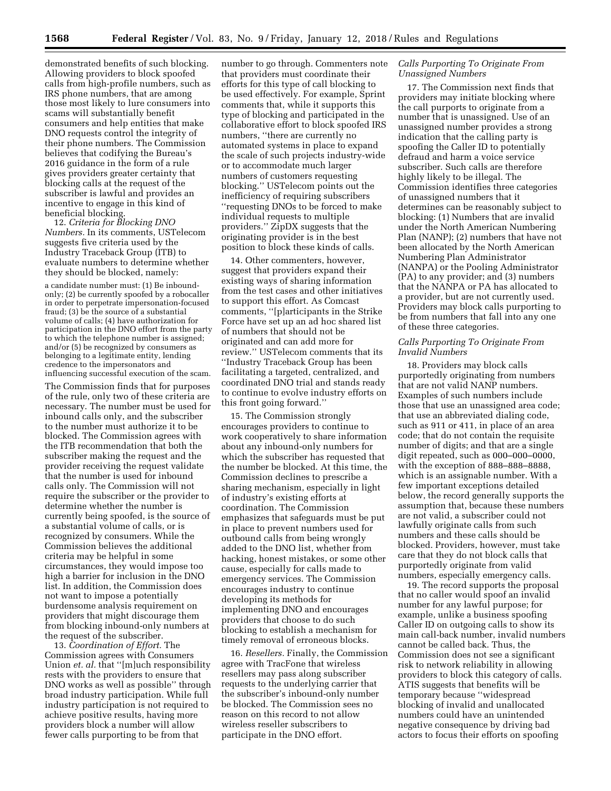demonstrated benefits of such blocking. Allowing providers to block spoofed calls from high-profile numbers, such as IRS phone numbers, that are among those most likely to lure consumers into scams will substantially benefit consumers and help entities that make DNO requests control the integrity of their phone numbers. The Commission believes that codifying the Bureau's 2016 guidance in the form of a rule gives providers greater certainty that blocking calls at the request of the subscriber is lawful and provides an incentive to engage in this kind of beneficial blocking.

12. *Criteria for Blocking DNO Numbers.* In its comments, USTelecom suggests five criteria used by the Industry Traceback Group (ITB) to evaluate numbers to determine whether they should be blocked, namely:

a candidate number must: (1) Be inboundonly; (2) be currently spoofed by a robocaller in order to perpetrate impersonation-focused fraud; (3) be the source of a substantial volume of calls; (4) have authorization for participation in the DNO effort from the party to which the telephone number is assigned; and/or (5) be recognized by consumers as belonging to a legitimate entity, lending credence to the impersonators and influencing successful execution of the scam.

The Commission finds that for purposes of the rule, only two of these criteria are necessary. The number must be used for inbound calls only, and the subscriber to the number must authorize it to be blocked. The Commission agrees with the ITB recommendation that both the subscriber making the request and the provider receiving the request validate that the number is used for inbound calls only. The Commission will not require the subscriber or the provider to determine whether the number is currently being spoofed, is the source of a substantial volume of calls, or is recognized by consumers. While the Commission believes the additional criteria may be helpful in some circumstances, they would impose too high a barrier for inclusion in the DNO list. In addition, the Commission does not want to impose a potentially burdensome analysis requirement on providers that might discourage them from blocking inbound-only numbers at the request of the subscriber.

13. *Coordination of Effort.* The Commission agrees with Consumers Union *et. al.* that "[m]uch responsibility rests with the providers to ensure that DNO works as well as possible'' through broad industry participation. While full industry participation is not required to achieve positive results, having more providers block a number will allow fewer calls purporting to be from that

number to go through. Commenters note that providers must coordinate their efforts for this type of call blocking to be used effectively. For example, Sprint comments that, while it supports this type of blocking and participated in the collaborative effort to block spoofed IRS numbers, ''there are currently no automated systems in place to expand the scale of such projects industry-wide or to accommodate much larger numbers of customers requesting blocking.'' USTelecom points out the inefficiency of requiring subscribers ''requesting DNOs to be forced to make individual requests to multiple providers.'' ZipDX suggests that the originating provider is in the best position to block these kinds of calls.

14. Other commenters, however, suggest that providers expand their existing ways of sharing information from the test cases and other initiatives to support this effort. As Comcast comments, ''[p]articipants in the Strike Force have set up an ad hoc shared list of numbers that should not be originated and can add more for review.'' USTelecom comments that its ''Industry Traceback Group has been facilitating a targeted, centralized, and coordinated DNO trial and stands ready to continue to evolve industry efforts on this front going forward.''

15. The Commission strongly encourages providers to continue to work cooperatively to share information about any inbound-only numbers for which the subscriber has requested that the number be blocked. At this time, the Commission declines to prescribe a sharing mechanism, especially in light of industry's existing efforts at coordination. The Commission emphasizes that safeguards must be put in place to prevent numbers used for outbound calls from being wrongly added to the DNO list, whether from hacking, honest mistakes, or some other cause, especially for calls made to emergency services. The Commission encourages industry to continue developing its methods for implementing DNO and encourages providers that choose to do such blocking to establish a mechanism for timely removal of erroneous blocks.

16. *Resellers.* Finally, the Commission agree with TracFone that wireless resellers may pass along subscriber requests to the underlying carrier that the subscriber's inbound-only number be blocked. The Commission sees no reason on this record to not allow wireless reseller subscribers to participate in the DNO effort.

## *Calls Purporting To Originate From Unassigned Numbers*

17. The Commission next finds that providers may initiate blocking where the call purports to originate from a number that is unassigned. Use of an unassigned number provides a strong indication that the calling party is spoofing the Caller ID to potentially defraud and harm a voice service subscriber. Such calls are therefore highly likely to be illegal. The Commission identifies three categories of unassigned numbers that it determines can be reasonably subject to blocking: (1) Numbers that are invalid under the North American Numbering Plan (NANP); (2) numbers that have not been allocated by the North American Numbering Plan Administrator (NANPA) or the Pooling Administrator (PA) to any provider; and (3) numbers that the NANPA or PA has allocated to a provider, but are not currently used. Providers may block calls purporting to be from numbers that fall into any one of these three categories.

# *Calls Purporting To Originate From Invalid Numbers*

18. Providers may block calls purportedly originating from numbers that are not valid NANP numbers. Examples of such numbers include those that use an unassigned area code; that use an abbreviated dialing code, such as 911 or 411, in place of an area code; that do not contain the requisite number of digits; and that are a single digit repeated, such as 000–000–0000, with the exception of 888–888–8888, which is an assignable number. With a few important exceptions detailed below, the record generally supports the assumption that, because these numbers are not valid, a subscriber could not lawfully originate calls from such numbers and these calls should be blocked. Providers, however, must take care that they do not block calls that purportedly originate from valid numbers, especially emergency calls.

19. The record supports the proposal that no caller would spoof an invalid number for any lawful purpose; for example, unlike a business spoofing Caller ID on outgoing calls to show its main call-back number, invalid numbers cannot be called back. Thus, the Commission does not see a significant risk to network reliability in allowing providers to block this category of calls. ATIS suggests that benefits will be temporary because ''widespread blocking of invalid and unallocated numbers could have an unintended negative consequence by driving bad actors to focus their efforts on spoofing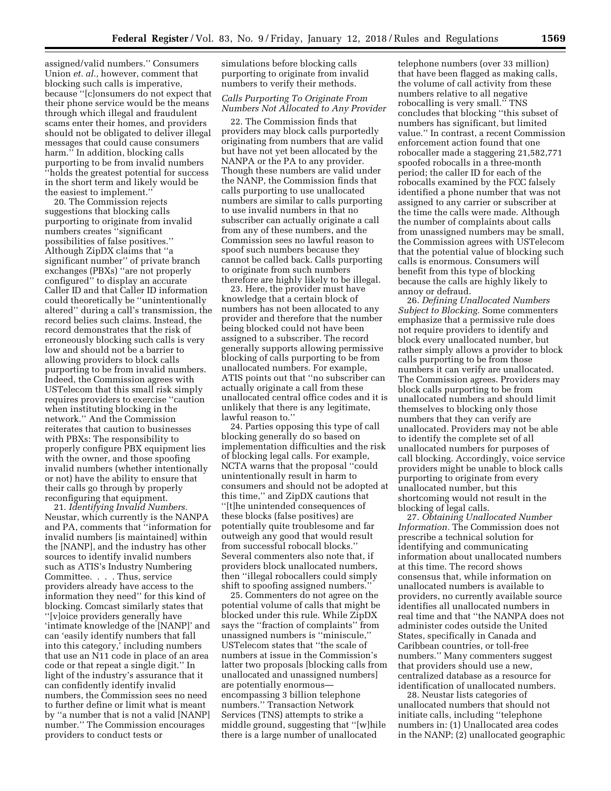assigned/valid numbers.'' Consumers Union *et. al.,* however, comment that blocking such calls is imperative, because ''[c]onsumers do not expect that their phone service would be the means through which illegal and fraudulent scams enter their homes, and providers should not be obligated to deliver illegal messages that could cause consumers harm.'' In addition, blocking calls purporting to be from invalid numbers ''holds the greatest potential for success in the short term and likely would be the easiest to implement.''

20. The Commission rejects suggestions that blocking calls purporting to originate from invalid numbers creates ''significant possibilities of false positives.'' Although ZipDX claims that ''a significant number'' of private branch exchanges (PBXs) ''are not properly configured'' to display an accurate Caller ID and that Caller ID information could theoretically be ''unintentionally altered'' during a call's transmission, the record belies such claims. Instead, the record demonstrates that the risk of erroneously blocking such calls is very low and should not be a barrier to allowing providers to block calls purporting to be from invalid numbers. Indeed, the Commission agrees with USTelecom that this small risk simply requires providers to exercise ''caution when instituting blocking in the network.'' And the Commission reiterates that caution to businesses with PBXs: The responsibility to properly configure PBX equipment lies with the owner, and those spoofing invalid numbers (whether intentionally or not) have the ability to ensure that their calls go through by properly reconfiguring that equipment.

21. *Identifying Invalid Numbers.*  Neustar, which currently is the NANPA and PA, comments that ''information for invalid numbers [is maintained] within the [NANP], and the industry has other sources to identify invalid numbers such as ATIS's Industry Numbering Committee. . . . Thus, service providers already have access to the information they need'' for this kind of blocking. Comcast similarly states that ''[v]oice providers generally have 'intimate knowledge of the [NANP]' and can 'easily identify numbers that fall into this category,' including numbers that use an N11 code in place of an area code or that repeat a single digit.'' In light of the industry's assurance that it can confidently identify invalid numbers, the Commission sees no need to further define or limit what is meant by ''a number that is not a valid [NANP] number.'' The Commission encourages providers to conduct tests or

simulations before blocking calls purporting to originate from invalid numbers to verify their methods.

# *Calls Purporting To Originate From Numbers Not Allocated to Any Provider*

22. The Commission finds that providers may block calls purportedly originating from numbers that are valid but have not yet been allocated by the NANPA or the PA to any provider. Though these numbers are valid under the NANP, the Commission finds that calls purporting to use unallocated numbers are similar to calls purporting to use invalid numbers in that no subscriber can actually originate a call from any of these numbers, and the Commission sees no lawful reason to spoof such numbers because they cannot be called back. Calls purporting to originate from such numbers therefore are highly likely to be illegal.

23. Here, the provider must have knowledge that a certain block of numbers has not been allocated to any provider and therefore that the number being blocked could not have been assigned to a subscriber. The record generally supports allowing permissive blocking of calls purporting to be from unallocated numbers. For example, ATIS points out that ''no subscriber can actually originate a call from these unallocated central office codes and it is unlikely that there is any legitimate, lawful reason to.''

24. Parties opposing this type of call blocking generally do so based on implementation difficulties and the risk of blocking legal calls. For example, NCTA warns that the proposal ''could unintentionally result in harm to consumers and should not be adopted at this time,'' and ZipDX cautions that ''[t]he unintended consequences of these blocks (false positives) are potentially quite troublesome and far outweigh any good that would result from successful robocall blocks.'' Several commenters also note that, if providers block unallocated numbers, then ''illegal robocallers could simply shift to spoofing assigned numbers.''

25. Commenters do not agree on the potential volume of calls that might be blocked under this rule. While ZipDX says the ''fraction of complaints'' from unassigned numbers is ''miniscule,'' USTelecom states that ''the scale of numbers at issue in the Commission's latter two proposals [blocking calls from unallocated and unassigned numbers] are potentially enormous encompassing 3 billion telephone numbers.'' Transaction Network Services (TNS) attempts to strike a middle ground, suggesting that ''[w]hile there is a large number of unallocated

telephone numbers (over 33 million) that have been flagged as making calls, the volume of call activity from these numbers relative to all negative robocalling is very small.'' TNS concludes that blocking ''this subset of numbers has significant, but limited value.'' In contrast, a recent Commission enforcement action found that one robocaller made a staggering 21,582,771 spoofed robocalls in a three-month period; the caller ID for each of the robocalls examined by the FCC falsely identified a phone number that was not assigned to any carrier or subscriber at the time the calls were made. Although the number of complaints about calls from unassigned numbers may be small, the Commission agrees with USTelecom that the potential value of blocking such calls is enormous. Consumers will benefit from this type of blocking because the calls are highly likely to annoy or defraud.

26. *Defining Unallocated Numbers Subject to Blocking.* Some commenters emphasize that a permissive rule does not require providers to identify and block every unallocated number, but rather simply allows a provider to block calls purporting to be from those numbers it can verify are unallocated. The Commission agrees. Providers may block calls purporting to be from unallocated numbers and should limit themselves to blocking only those numbers that they can verify are unallocated. Providers may not be able to identify the complete set of all unallocated numbers for purposes of call blocking. Accordingly, voice service providers might be unable to block calls purporting to originate from every unallocated number, but this shortcoming would not result in the blocking of legal calls.

27. *Obtaining Unallocated Number Information.* The Commission does not prescribe a technical solution for identifying and communicating information about unallocated numbers at this time. The record shows consensus that, while information on unallocated numbers is available to providers, no currently available source identifies all unallocated numbers in real time and that ''the NANPA does not administer codes outside the United States, specifically in Canada and Caribbean countries, or toll-free numbers.'' Many commenters suggest that providers should use a new, centralized database as a resource for identification of unallocated numbers.

28. Neustar lists categories of unallocated numbers that should not initiate calls, including ''telephone numbers in: (1) Unallocated area codes in the NANP; (2) unallocated geographic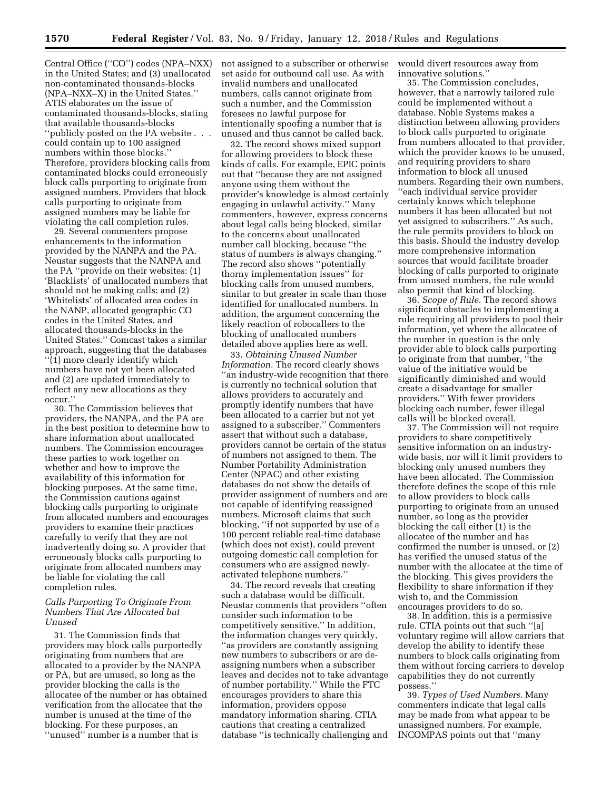Central Office (''CO'') codes (NPA–NXX) in the United States; and (3) unallocated non-contaminated thousands-blocks (NPA–NXX–X) in the United States.'' ATIS elaborates on the issue of contaminated thousands-blocks, stating that available thousands-blocks ''publicly posted on the PA website . . . could contain up to 100 assigned numbers within those blocks.'' Therefore, providers blocking calls from contaminated blocks could erroneously block calls purporting to originate from assigned numbers. Providers that block calls purporting to originate from assigned numbers may be liable for violating the call completion rules.

29. Several commenters propose enhancements to the information provided by the NANPA and the PA. Neustar suggests that the NANPA and the PA ''provide on their websites: (1) 'Blacklists' of unallocated numbers that should not be making calls; and (2) 'Whitelists' of allocated area codes in the NANP, allocated geographic CO codes in the United States, and allocated thousands-blocks in the United States.'' Comcast takes a similar approach, suggesting that the databases ''(1) more clearly identify which numbers have not yet been allocated and (2) are updated immediately to reflect any new allocations as they occur.''

30. The Commission believes that providers, the NANPA, and the PA are in the best position to determine how to share information about unallocated numbers. The Commission encourages these parties to work together on whether and how to improve the availability of this information for blocking purposes. At the same time, the Commission cautions against blocking calls purporting to originate from allocated numbers and encourages providers to examine their practices carefully to verify that they are not inadvertently doing so. A provider that erroneously blocks calls purporting to originate from allocated numbers may be liable for violating the call completion rules.

# *Calls Purporting To Originate From Numbers That Are Allocated but Unused*

31. The Commission finds that providers may block calls purportedly originating from numbers that are allocated to a provider by the NANPA or PA, but are unused, so long as the provider blocking the calls is the allocatee of the number or has obtained verification from the allocatee that the number is unused at the time of the blocking. For these purposes, an ''unused'' number is a number that is

not assigned to a subscriber or otherwise set aside for outbound call use. As with invalid numbers and unallocated numbers, calls cannot originate from such a number, and the Commission foresees no lawful purpose for intentionally spoofing a number that is unused and thus cannot be called back.

32. The record shows mixed support for allowing providers to block these kinds of calls. For example, EPIC points out that ''because they are not assigned anyone using them without the provider's knowledge is almost certainly engaging in unlawful activity.'' Many commenters, however, express concerns about legal calls being blocked, similar to the concerns about unallocated number call blocking, because ''the status of numbers is always changing.'' The record also shows ''potentially thorny implementation issues'' for blocking calls from unused numbers, similar to but greater in scale than those identified for unallocated numbers. In addition, the argument concerning the likely reaction of robocallers to the blocking of unallocated numbers detailed above applies here as well.

33. *Obtaining Unused Number Information.* The record clearly shows ''an industry-wide recognition that there is currently no technical solution that allows providers to accurately and promptly identify numbers that have been allocated to a carrier but not yet assigned to a subscriber.'' Commenters assert that without such a database, providers cannot be certain of the status of numbers not assigned to them. The Number Portability Administration Center (NPAC) and other existing databases do not show the details of provider assignment of numbers and are not capable of identifying reassigned numbers. Microsoft claims that such blocking, ''if not supported by use of a 100 percent reliable real-time database (which does not exist), could prevent outgoing domestic call completion for consumers who are assigned newlyactivated telephone numbers.''

34. The record reveals that creating such a database would be difficult. Neustar comments that providers ''often consider such information to be competitively sensitive.'' In addition, the information changes very quickly, ''as providers are constantly assigning new numbers to subscribers or are deassigning numbers when a subscriber leaves and decides not to take advantage of number portability.'' While the FTC encourages providers to share this information, providers oppose mandatory information sharing. CTIA cautions that creating a centralized database ''is technically challenging and would divert resources away from innovative solutions.''

35. The Commission concludes, however, that a narrowly tailored rule could be implemented without a database. Noble Systems makes a distinction between allowing providers to block calls purported to originate from numbers allocated to that provider, which the provider knows to be unused, and requiring providers to share information to block all unused numbers. Regarding their own numbers, ''each individual service provider certainly knows which telephone numbers it has been allocated but not yet assigned to subscribers.'' As such, the rule permits providers to block on this basis. Should the industry develop more comprehensive information sources that would facilitate broader blocking of calls purported to originate from unused numbers, the rule would also permit that kind of blocking.

36. *Scope of Rule.* The record shows significant obstacles to implementing a rule requiring all providers to pool their information, yet where the allocatee of the number in question is the only provider able to block calls purporting to originate from that number, ''the value of the initiative would be significantly diminished and would create a disadvantage for smaller providers.'' With fewer providers blocking each number, fewer illegal calls will be blocked overall.

37. The Commission will not require providers to share competitively sensitive information on an industrywide basis, nor will it limit providers to blocking only unused numbers they have been allocated. The Commission therefore defines the scope of this rule to allow providers to block calls purporting to originate from an unused number, so long as the provider blocking the call either (1) is the allocatee of the number and has confirmed the number is unused, or (2) has verified the unused status of the number with the allocatee at the time of the blocking. This gives providers the flexibility to share information if they wish to, and the Commission encourages providers to do so.

38. In addition, this is a permissive rule. CTIA points out that such ''[a] voluntary regime will allow carriers that develop the ability to identify these numbers to block calls originating from them without forcing carriers to develop capabilities they do not currently possess.''

39. *Types of Used Numbers.* Many commenters indicate that legal calls may be made from what appear to be unassigned numbers. For example, INCOMPAS points out that ''many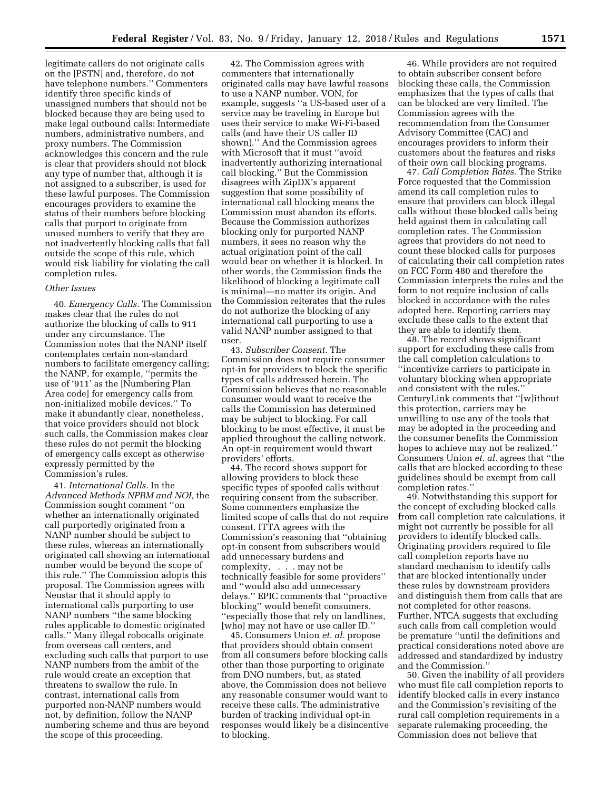legitimate callers do not originate calls on the [PSTN] and, therefore, do not have telephone numbers.'' Commenters identify three specific kinds of unassigned numbers that should not be blocked because they are being used to make legal outbound calls: Intermediate numbers, administrative numbers, and proxy numbers. The Commission acknowledges this concern and the rule is clear that providers should not block any type of number that, although it is not assigned to a subscriber, is used for these lawful purposes. The Commission encourages providers to examine the status of their numbers before blocking calls that purport to originate from unused numbers to verify that they are not inadvertently blocking calls that fall outside the scope of this rule, which would risk liability for violating the call completion rules.

### *Other Issues*

40. *Emergency Calls.* The Commission makes clear that the rules do not authorize the blocking of calls to 911 under any circumstance. The Commission notes that the NANP itself contemplates certain non-standard numbers to facilitate emergency calling; the NANP, for example, ''permits the use of '911' as the [Numbering Plan Area code] for emergency calls from non-initialized mobile devices.'' To make it abundantly clear, nonetheless, that voice providers should not block such calls, the Commission makes clear these rules do not permit the blocking of emergency calls except as otherwise expressly permitted by the Commission's rules.

41. *International Calls.* In the *Advanced Methods NPRM and NOI,* the Commission sought comment ''on whether an internationally originated call purportedly originated from a NANP number should be subject to these rules, whereas an internationally originated call showing an international number would be beyond the scope of this rule.'' The Commission adopts this proposal. The Commission agrees with Neustar that it should apply to international calls purporting to use NANP numbers ''the same blocking rules applicable to domestic originated calls.'' Many illegal robocalls originate from overseas call centers, and excluding such calls that purport to use NANP numbers from the ambit of the rule would create an exception that threatens to swallow the rule. In contrast, international calls from purported non-NANP numbers would not, by definition, follow the NANP numbering scheme and thus are beyond the scope of this proceeding.

42. The Commission agrees with commenters that internationally originated calls may have lawful reasons to use a NANP number. VON, for example, suggests ''a US-based user of a service may be traveling in Europe but uses their service to make Wi-Fi-based calls (and have their US caller ID shown).'' And the Commission agrees with Microsoft that it must ''avoid inadvertently authorizing international call blocking.'' But the Commission disagrees with ZipDX's apparent suggestion that some possibility of international call blocking means the Commission must abandon its efforts. Because the Commission authorizes blocking only for purported NANP numbers, it sees no reason why the actual origination point of the call would bear on whether it is blocked. In other words, the Commission finds the likelihood of blocking a legitimate call is minimal—no matter its origin. And the Commission reiterates that the rules do not authorize the blocking of any international call purporting to use a valid NANP number assigned to that user.

43. *Subscriber Consent.* The Commission does not require consumer opt-in for providers to block the specific types of calls addressed herein. The Commission believes that no reasonable consumer would want to receive the calls the Commission has determined may be subject to blocking. For call blocking to be most effective, it must be applied throughout the calling network. An opt-in requirement would thwart providers' efforts.

44. The record shows support for allowing providers to block these specific types of spoofed calls without requiring consent from the subscriber. Some commenters emphasize the limited scope of calls that do not require consent. ITTA agrees with the Commission's reasoning that ''obtaining opt-in consent from subscribers would add unnecessary burdens and complexity, . . . may not be technically feasible for some providers'' and ''would also add unnecessary delays.'' EPIC comments that ''proactive blocking'' would benefit consumers, ''especially those that rely on landlines, [who] may not have or use caller ID.''

45. Consumers Union *et. al.* propose that providers should obtain consent from all consumers before blocking calls other than those purporting to originate from DNO numbers, but, as stated above, the Commission does not believe any reasonable consumer would want to receive these calls. The administrative burden of tracking individual opt-in responses would likely be a disincentive to blocking.

46. While providers are not required to obtain subscriber consent before blocking these calls, the Commission emphasizes that the types of calls that can be blocked are very limited. The Commission agrees with the recommendation from the Consumer Advisory Committee (CAC) and encourages providers to inform their customers about the features and risks of their own call blocking programs.

47. *Call Completion Rates.* The Strike Force requested that the Commission amend its call completion rules to ensure that providers can block illegal calls without those blocked calls being held against them in calculating call completion rates. The Commission agrees that providers do not need to count these blocked calls for purposes of calculating their call completion rates on FCC Form 480 and therefore the Commission interprets the rules and the form to not require inclusion of calls blocked in accordance with the rules adopted here. Reporting carriers may exclude these calls to the extent that they are able to identify them.

48. The record shows significant support for excluding these calls from the call completion calculations to ''incentivize carriers to participate in voluntary blocking when appropriate and consistent with the rules.'' CenturyLink comments that ''[w]ithout this protection, carriers may be unwilling to use any of the tools that may be adopted in the proceeding and the consumer benefits the Commission hopes to achieve may not be realized.'' Consumers Union *et. al.* agrees that ''the calls that are blocked according to these guidelines should be exempt from call completion rates.''

49. Notwithstanding this support for the concept of excluding blocked calls from call completion rate calculations, it might not currently be possible for all providers to identify blocked calls. Originating providers required to file call completion reports have no standard mechanism to identify calls that are blocked intentionally under these rules by downstream providers and distinguish them from calls that are not completed for other reasons. Further, NTCA suggests that excluding such calls from call completion would be premature ''until the definitions and practical considerations noted above are addressed and standardized by industry and the Commission.''

50. Given the inability of all providers who must file call completion reports to identify blocked calls in every instance and the Commission's revisiting of the rural call completion requirements in a separate rulemaking proceeding, the Commission does not believe that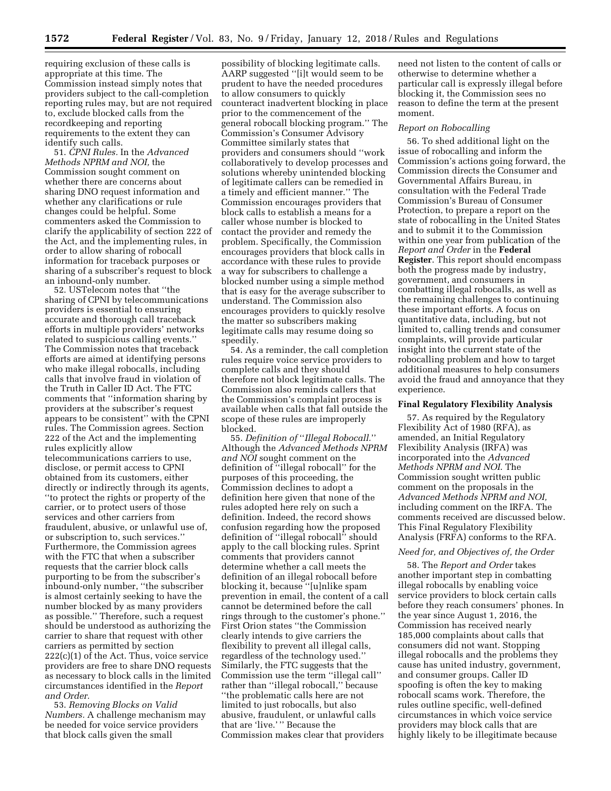requiring exclusion of these calls is appropriate at this time. The Commission instead simply notes that providers subject to the call-completion reporting rules may, but are not required to, exclude blocked calls from the recordkeeping and reporting requirements to the extent they can identify such calls.

51. *CPNI Rules.* In the *Advanced Methods NPRM and NOI,* the Commission sought comment on whether there are concerns about sharing DNO request information and whether any clarifications or rule changes could be helpful. Some commenters asked the Commission to clarify the applicability of section 222 of the Act, and the implementing rules, in order to allow sharing of robocall information for traceback purposes or sharing of a subscriber's request to block an inbound-only number.

52. USTelecom notes that ''the sharing of CPNI by telecommunications providers is essential to ensuring accurate and thorough call traceback efforts in multiple providers' networks related to suspicious calling events.'' The Commission notes that traceback efforts are aimed at identifying persons who make illegal robocalls, including calls that involve fraud in violation of the Truth in Caller ID Act. The FTC comments that ''information sharing by providers at the subscriber's request appears to be consistent'' with the CPNI rules. The Commission agrees. Section 222 of the Act and the implementing rules explicitly allow telecommunications carriers to use, disclose, or permit access to CPNI obtained from its customers, either directly or indirectly through its agents, ''to protect the rights or property of the carrier, or to protect users of those services and other carriers from fraudulent, abusive, or unlawful use of, or subscription to, such services.'' Furthermore, the Commission agrees with the FTC that when a subscriber requests that the carrier block calls purporting to be from the subscriber's inbound-only number, ''the subscriber is almost certainly seeking to have the number blocked by as many providers as possible.'' Therefore, such a request should be understood as authorizing the carrier to share that request with other carriers as permitted by section 222(c)(1) of the Act. Thus, voice service providers are free to share DNO requests as necessary to block calls in the limited circumstances identified in the *Report and Order.* 

53. *Removing Blocks on Valid Numbers.* A challenge mechanism may be needed for voice service providers that block calls given the small

possibility of blocking legitimate calls. AARP suggested ''[i]t would seem to be prudent to have the needed procedures to allow consumers to quickly counteract inadvertent blocking in place prior to the commencement of the general robocall blocking program.'' The Commission's Consumer Advisory Committee similarly states that providers and consumers should ''work collaboratively to develop processes and solutions whereby unintended blocking of legitimate callers can be remedied in a timely and efficient manner.'' The Commission encourages providers that block calls to establish a means for a caller whose number is blocked to contact the provider and remedy the problem. Specifically, the Commission encourages providers that block calls in accordance with these rules to provide a way for subscribers to challenge a blocked number using a simple method that is easy for the average subscriber to understand. The Commission also encourages providers to quickly resolve the matter so subscribers making legitimate calls may resume doing so speedily.

54. As a reminder, the call completion rules require voice service providers to complete calls and they should therefore not block legitimate calls. The Commission also reminds callers that the Commission's complaint process is available when calls that fall outside the scope of these rules are improperly blocked.

55. *Definition of* ''*Illegal Robocall.*'' Although the *Advanced Methods NPRM and NOI* sought comment on the definition of ''illegal robocall'' for the purposes of this proceeding, the Commission declines to adopt a definition here given that none of the rules adopted here rely on such a definition. Indeed, the record shows confusion regarding how the proposed definition of ''illegal robocall'' should apply to the call blocking rules. Sprint comments that providers cannot determine whether a call meets the definition of an illegal robocall before blocking it, because ''[u]nlike spam prevention in email, the content of a call cannot be determined before the call rings through to the customer's phone.'' First Orion states ''the Commission clearly intends to give carriers the flexibility to prevent all illegal calls, regardless of the technology used.'' Similarly, the FTC suggests that the Commission use the term ''illegal call'' rather than ''illegal robocall,'' because ''the problematic calls here are not limited to just robocalls, but also abusive, fraudulent, or unlawful calls that are 'live.' '' Because the Commission makes clear that providers

need not listen to the content of calls or otherwise to determine whether a particular call is expressly illegal before blocking it, the Commission sees no reason to define the term at the present moment.

### *Report on Robocalling*

56. To shed additional light on the issue of robocalling and inform the Commission's actions going forward, the Commission directs the Consumer and Governmental Affairs Bureau, in consultation with the Federal Trade Commission's Bureau of Consumer Protection, to prepare a report on the state of robocalling in the United States and to submit it to the Commission within one year from publication of the *Report and Order* in the **Federal Register**. This report should encompass both the progress made by industry, government, and consumers in combatting illegal robocalls, as well as the remaining challenges to continuing these important efforts. A focus on quantitative data, including, but not limited to, calling trends and consumer complaints, will provide particular insight into the current state of the robocalling problem and how to target additional measures to help consumers avoid the fraud and annoyance that they experience.

# **Final Regulatory Flexibility Analysis**

57. As required by the Regulatory Flexibility Act of 1980 (RFA), as amended, an Initial Regulatory Flexibility Analysis (IRFA) was incorporated into the *Advanced Methods NPRM and NOI*. The Commission sought written public comment on the proposals in the *Advanced Methods NPRM and NOI,*  including comment on the IRFA. The comments received are discussed below. This Final Regulatory Flexibility Analysis (FRFA) conforms to the RFA.

### *Need for, and Objectives of, the Order*

58. The *Report and Order* takes another important step in combatting illegal robocalls by enabling voice service providers to block certain calls before they reach consumers' phones. In the year since August 1, 2016, the Commission has received nearly 185,000 complaints about calls that consumers did not want. Stopping illegal robocalls and the problems they cause has united industry, government, and consumer groups. Caller ID spoofing is often the key to making robocall scams work. Therefore, the rules outline specific, well-defined circumstances in which voice service providers may block calls that are highly likely to be illegitimate because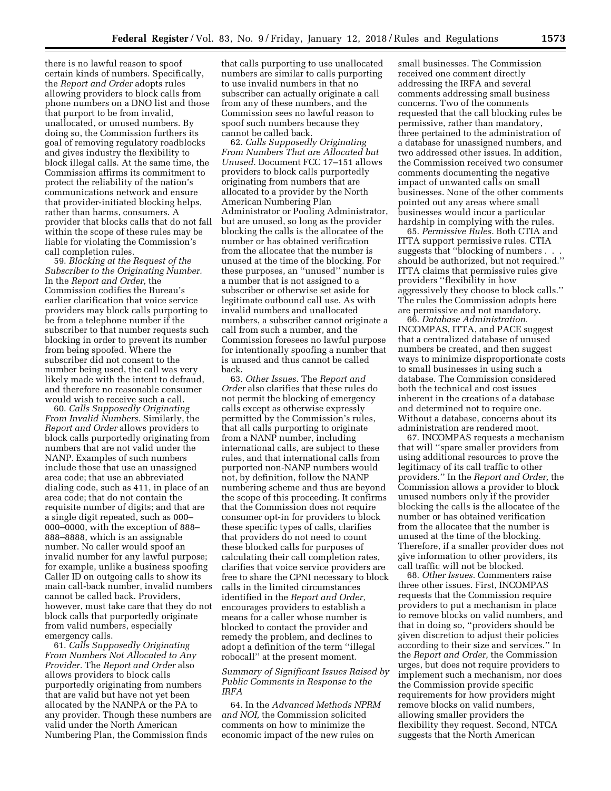there is no lawful reason to spoof certain kinds of numbers. Specifically, the *Report and Order* adopts rules allowing providers to block calls from phone numbers on a DNO list and those that purport to be from invalid, unallocated, or unused numbers. By doing so, the Commission furthers its goal of removing regulatory roadblocks and gives industry the flexibility to block illegal calls. At the same time, the Commission affirms its commitment to protect the reliability of the nation's communications network and ensure that provider-initiated blocking helps, rather than harms, consumers. A provider that blocks calls that do not fall within the scope of these rules may be liable for violating the Commission's call completion rules.

59. *Blocking at the Request of the Subscriber to the Originating Number.*  In the *Report and Order,* the Commission codifies the Bureau's earlier clarification that voice service providers may block calls purporting to be from a telephone number if the subscriber to that number requests such blocking in order to prevent its number from being spoofed. Where the subscriber did not consent to the number being used, the call was very likely made with the intent to defraud, and therefore no reasonable consumer would wish to receive such a call.

60. *Calls Supposedly Originating From Invalid Numbers.* Similarly, the *Report and Order* allows providers to block calls purportedly originating from numbers that are not valid under the NANP. Examples of such numbers include those that use an unassigned area code; that use an abbreviated dialing code, such as 411, in place of an area code; that do not contain the requisite number of digits; and that are a single digit repeated, such as 000– 000–0000, with the exception of 888– 888–8888, which is an assignable number. No caller would spoof an invalid number for any lawful purpose; for example, unlike a business spoofing Caller ID on outgoing calls to show its main call-back number, invalid numbers cannot be called back. Providers, however, must take care that they do not block calls that purportedly originate from valid numbers, especially emergency calls.

61. *Calls Supposedly Originating From Numbers Not Allocated to Any Provider.* The *Report and Order* also allows providers to block calls purportedly originating from numbers that are valid but have not yet been allocated by the NANPA or the PA to any provider. Though these numbers are valid under the North American Numbering Plan, the Commission finds

that calls purporting to use unallocated numbers are similar to calls purporting to use invalid numbers in that no subscriber can actually originate a call from any of these numbers, and the Commission sees no lawful reason to spoof such numbers because they cannot be called back.

62. *Calls Supposedly Originating From Numbers That are Allocated but Unused.* Document FCC 17–151 allows providers to block calls purportedly originating from numbers that are allocated to a provider by the North American Numbering Plan Administrator or Pooling Administrator, but are unused, so long as the provider blocking the calls is the allocatee of the number or has obtained verification from the allocatee that the number is unused at the time of the blocking. For these purposes, an ''unused'' number is a number that is not assigned to a subscriber or otherwise set aside for legitimate outbound call use. As with invalid numbers and unallocated numbers, a subscriber cannot originate a call from such a number, and the Commission foresees no lawful purpose for intentionally spoofing a number that is unused and thus cannot be called back.

63. *Other Issues.* The *Report and Order* also clarifies that these rules do not permit the blocking of emergency calls except as otherwise expressly permitted by the Commission's rules, that all calls purporting to originate from a NANP number, including international calls, are subject to these rules, and that international calls from purported non-NANP numbers would not, by definition, follow the NANP numbering scheme and thus are beyond the scope of this proceeding. It confirms that the Commission does not require consumer opt-in for providers to block these specific types of calls, clarifies that providers do not need to count these blocked calls for purposes of calculating their call completion rates, clarifies that voice service providers are free to share the CPNI necessary to block calls in the limited circumstances identified in the *Report and Order,*  encourages providers to establish a means for a caller whose number is blocked to contact the provider and remedy the problem, and declines to adopt a definition of the term ''illegal robocall'' at the present moment.

# *Summary of Significant Issues Raised by Public Comments in Response to the IRFA*

64. In the *Advanced Methods NPRM and NOI,* the Commission solicited comments on how to minimize the economic impact of the new rules on

small businesses. The Commission received one comment directly addressing the IRFA and several comments addressing small business concerns. Two of the comments requested that the call blocking rules be permissive, rather than mandatory, three pertained to the administration of a database for unassigned numbers, and two addressed other issues. In addition, the Commission received two consumer comments documenting the negative impact of unwanted calls on small businesses. None of the other comments pointed out any areas where small businesses would incur a particular hardship in complying with the rules.

65. *Permissive Rules.* Both CTIA and ITTA support permissive rules. CTIA suggests that ''blocking of numbers . . . should be authorized, but not required.'' ITTA claims that permissive rules give providers ''flexibility in how aggressively they choose to block calls.'' The rules the Commission adopts here are permissive and not mandatory.

66. *Database Administration.*  INCOMPAS, ITTA, and PACE suggest that a centralized database of unused numbers be created, and then suggest ways to minimize disproportionate costs to small businesses in using such a database. The Commission considered both the technical and cost issues inherent in the creations of a database and determined not to require one. Without a database, concerns about its administration are rendered moot.

67. INCOMPAS requests a mechanism that will ''spare smaller providers from using additional resources to prove the legitimacy of its call traffic to other providers.'' In the *Report and Order,* the Commission allows a provider to block unused numbers only if the provider blocking the calls is the allocatee of the number or has obtained verification from the allocatee that the number is unused at the time of the blocking. Therefore, if a smaller provider does not give information to other providers, its call traffic will not be blocked.

68. *Other Issues.* Commenters raise three other issues. First, INCOMPAS requests that the Commission require providers to put a mechanism in place to remove blocks on valid numbers, and that in doing so, ''providers should be given discretion to adjust their policies according to their size and services.'' In the *Report and Order,* the Commission urges, but does not require providers to implement such a mechanism, nor does the Commission provide specific requirements for how providers might remove blocks on valid numbers, allowing smaller providers the flexibility they request. Second, NTCA suggests that the North American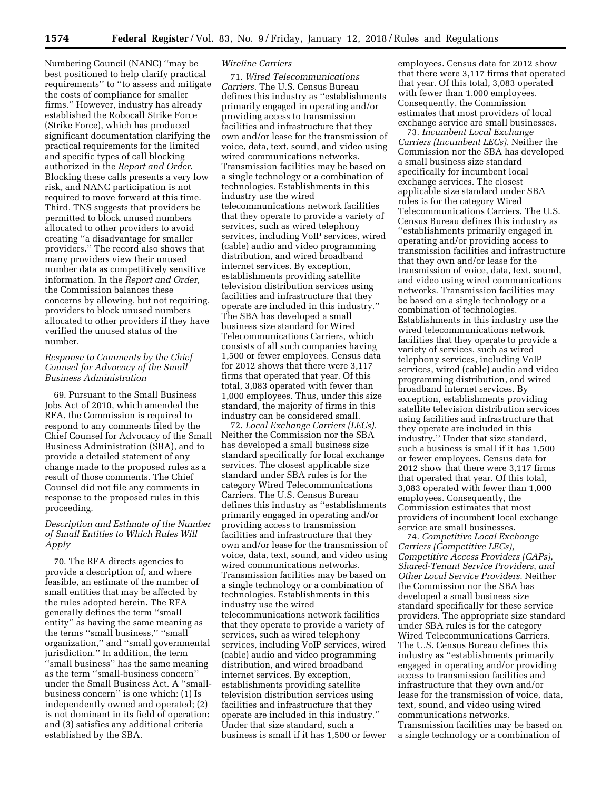Numbering Council (NANC) ''may be best positioned to help clarify practical requirements'' to ''to assess and mitigate the costs of compliance for smaller firms.'' However, industry has already established the Robocall Strike Force (Strike Force), which has produced significant documentation clarifying the practical requirements for the limited and specific types of call blocking authorized in the *Report and Order*. Blocking these calls presents a very low risk, and NANC participation is not required to move forward at this time. Third, TNS suggests that providers be permitted to block unused numbers allocated to other providers to avoid creating ''a disadvantage for smaller providers.'' The record also shows that many providers view their unused number data as competitively sensitive information. In the *Report and Order,*  the Commission balances these concerns by allowing, but not requiring, providers to block unused numbers allocated to other providers if they have verified the unused status of the number.

# *Response to Comments by the Chief Counsel for Advocacy of the Small Business Administration*

69. Pursuant to the Small Business Jobs Act of 2010, which amended the RFA, the Commission is required to respond to any comments filed by the Chief Counsel for Advocacy of the Small Business Administration (SBA), and to provide a detailed statement of any change made to the proposed rules as a result of those comments. The Chief Counsel did not file any comments in response to the proposed rules in this proceeding.

# *Description and Estimate of the Number of Small Entities to Which Rules Will Apply*

70. The RFA directs agencies to provide a description of, and where feasible, an estimate of the number of small entities that may be affected by the rules adopted herein. The RFA generally defines the term ''small entity'' as having the same meaning as the terms ''small business,'' ''small organization,'' and ''small governmental jurisdiction.'' In addition, the term ''small business'' has the same meaning as the term ''small-business concern'' under the Small Business Act. A ''smallbusiness concern'' is one which: (1) Is independently owned and operated; (2) is not dominant in its field of operation; and (3) satisfies any additional criteria established by the SBA.

## *Wireline Carriers*

71. *Wired Telecommunications Carriers.* The U.S. Census Bureau defines this industry as ''establishments primarily engaged in operating and/or providing access to transmission facilities and infrastructure that they own and/or lease for the transmission of voice, data, text, sound, and video using wired communications networks. Transmission facilities may be based on a single technology or a combination of technologies. Establishments in this industry use the wired telecommunications network facilities that they operate to provide a variety of services, such as wired telephony services, including VoIP services, wired (cable) audio and video programming distribution, and wired broadband internet services. By exception, establishments providing satellite television distribution services using facilities and infrastructure that they operate are included in this industry.'' The SBA has developed a small business size standard for Wired Telecommunications Carriers, which consists of all such companies having 1,500 or fewer employees. Census data for 2012 shows that there were 3,117 firms that operated that year. Of this total, 3,083 operated with fewer than 1,000 employees. Thus, under this size standard, the majority of firms in this industry can be considered small.

72. *Local Exchange Carriers (LECs).*  Neither the Commission nor the SBA has developed a small business size standard specifically for local exchange services. The closest applicable size standard under SBA rules is for the category Wired Telecommunications Carriers. The U.S. Census Bureau defines this industry as ''establishments primarily engaged in operating and/or providing access to transmission facilities and infrastructure that they own and/or lease for the transmission of voice, data, text, sound, and video using wired communications networks. Transmission facilities may be based on a single technology or a combination of technologies. Establishments in this industry use the wired telecommunications network facilities that they operate to provide a variety of services, such as wired telephony services, including VoIP services, wired (cable) audio and video programming distribution, and wired broadband internet services. By exception, establishments providing satellite television distribution services using facilities and infrastructure that they operate are included in this industry.'' Under that size standard, such a business is small if it has 1,500 or fewer

employees. Census data for 2012 show that there were 3,117 firms that operated that year. Of this total, 3,083 operated with fewer than 1,000 employees. Consequently, the Commission estimates that most providers of local exchange service are small businesses.

73. *Incumbent Local Exchange Carriers (Incumbent LECs).* Neither the Commission nor the SBA has developed a small business size standard specifically for incumbent local exchange services. The closest applicable size standard under SBA rules is for the category Wired Telecommunications Carriers. The U.S. Census Bureau defines this industry as ''establishments primarily engaged in operating and/or providing access to transmission facilities and infrastructure that they own and/or lease for the transmission of voice, data, text, sound, and video using wired communications networks. Transmission facilities may be based on a single technology or a combination of technologies. Establishments in this industry use the wired telecommunications network facilities that they operate to provide a variety of services, such as wired telephony services, including VoIP services, wired (cable) audio and video programming distribution, and wired broadband internet services. By exception, establishments providing satellite television distribution services using facilities and infrastructure that they operate are included in this industry.'' Under that size standard, such a business is small if it has 1,500 or fewer employees. Census data for 2012 show that there were 3,117 firms that operated that year. Of this total, 3,083 operated with fewer than 1,000 employees. Consequently, the Commission estimates that most providers of incumbent local exchange service are small businesses.

74. *Competitive Local Exchange Carriers (Competitive LECs), Competitive Access Providers (CAPs), Shared-Tenant Service Providers, and Other Local Service Providers.* Neither the Commission nor the SBA has developed a small business size standard specifically for these service providers. The appropriate size standard under SBA rules is for the category Wired Telecommunications Carriers. The U.S. Census Bureau defines this industry as ''establishments primarily engaged in operating and/or providing access to transmission facilities and infrastructure that they own and/or lease for the transmission of voice, data, text, sound, and video using wired communications networks. Transmission facilities may be based on a single technology or a combination of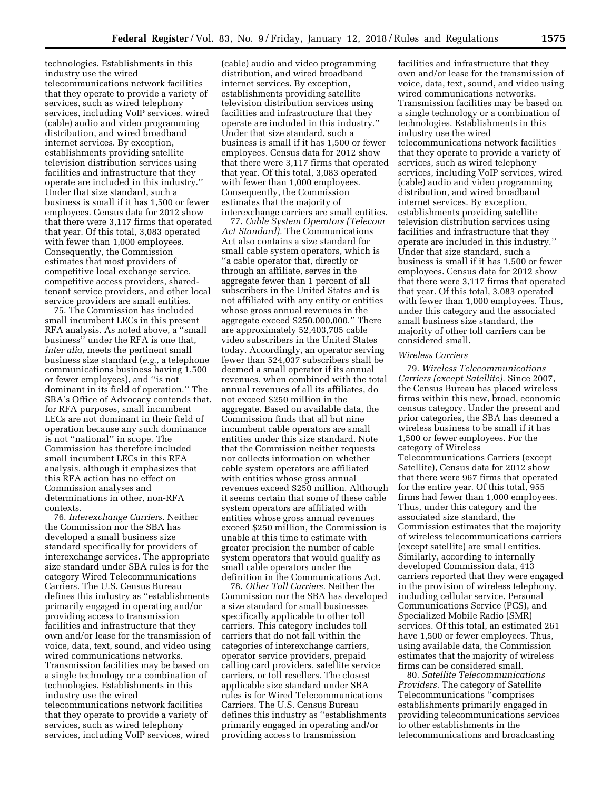technologies. Establishments in this industry use the wired telecommunications network facilities that they operate to provide a variety of services, such as wired telephony services, including VoIP services, wired (cable) audio and video programming distribution, and wired broadband internet services. By exception, establishments providing satellite television distribution services using facilities and infrastructure that they operate are included in this industry.'' Under that size standard, such a business is small if it has 1,500 or fewer employees. Census data for 2012 show that there were 3,117 firms that operated that year. Of this total, 3,083 operated with fewer than 1,000 employees. Consequently, the Commission estimates that most providers of competitive local exchange service, competitive access providers, sharedtenant service providers, and other local service providers are small entities.

75. The Commission has included small incumbent LECs in this present RFA analysis. As noted above, a ''small business'' under the RFA is one that, *inter alia,* meets the pertinent small business size standard (*e.g.,* a telephone communications business having 1,500 or fewer employees), and ''is not dominant in its field of operation.'' The SBA's Office of Advocacy contends that, for RFA purposes, small incumbent LECs are not dominant in their field of operation because any such dominance is not ''national'' in scope. The Commission has therefore included small incumbent LECs in this RFA analysis, although it emphasizes that this RFA action has no effect on Commission analyses and determinations in other, non-RFA contexts.

76. *Interexchange Carriers.* Neither the Commission nor the SBA has developed a small business size standard specifically for providers of interexchange services. The appropriate size standard under SBA rules is for the category Wired Telecommunications Carriers. The U.S. Census Bureau defines this industry as ''establishments primarily engaged in operating and/or providing access to transmission facilities and infrastructure that they own and/or lease for the transmission of voice, data, text, sound, and video using wired communications networks. Transmission facilities may be based on a single technology or a combination of technologies. Establishments in this industry use the wired telecommunications network facilities that they operate to provide a variety of services, such as wired telephony services, including VoIP services, wired

(cable) audio and video programming distribution, and wired broadband internet services. By exception, establishments providing satellite television distribution services using facilities and infrastructure that they operate are included in this industry.'' Under that size standard, such a business is small if it has 1,500 or fewer employees. Census data for 2012 show that there were 3,117 firms that operated that year. Of this total, 3,083 operated with fewer than 1,000 employees. Consequently, the Commission estimates that the majority of interexchange carriers are small entities.

77. *Cable System Operators (Telecom Act Standard).* The Communications Act also contains a size standard for small cable system operators, which is ''a cable operator that, directly or through an affiliate, serves in the aggregate fewer than 1 percent of all subscribers in the United States and is not affiliated with any entity or entities whose gross annual revenues in the aggregate exceed \$250,000,000.'' There are approximately 52,403,705 cable video subscribers in the United States today. Accordingly, an operator serving fewer than 524,037 subscribers shall be deemed a small operator if its annual revenues, when combined with the total annual revenues of all its affiliates, do not exceed \$250 million in the aggregate. Based on available data, the Commission finds that all but nine incumbent cable operators are small entities under this size standard. Note that the Commission neither requests nor collects information on whether cable system operators are affiliated with entities whose gross annual revenues exceed \$250 million. Although it seems certain that some of these cable system operators are affiliated with entities whose gross annual revenues exceed \$250 million, the Commission is unable at this time to estimate with greater precision the number of cable system operators that would qualify as small cable operators under the definition in the Communications Act.

78. *Other Toll Carriers.* Neither the Commission nor the SBA has developed a size standard for small businesses specifically applicable to other toll carriers. This category includes toll carriers that do not fall within the categories of interexchange carriers, operator service providers, prepaid calling card providers, satellite service carriers, or toll resellers. The closest applicable size standard under SBA rules is for Wired Telecommunications Carriers. The U.S. Census Bureau defines this industry as ''establishments primarily engaged in operating and/or providing access to transmission

facilities and infrastructure that they own and/or lease for the transmission of voice, data, text, sound, and video using wired communications networks. Transmission facilities may be based on a single technology or a combination of technologies. Establishments in this industry use the wired telecommunications network facilities that they operate to provide a variety of services, such as wired telephony services, including VoIP services, wired (cable) audio and video programming distribution, and wired broadband internet services. By exception, establishments providing satellite television distribution services using facilities and infrastructure that they operate are included in this industry.'' Under that size standard, such a business is small if it has 1,500 or fewer employees. Census data for 2012 show that there were 3,117 firms that operated that year. Of this total, 3,083 operated with fewer than 1,000 employees. Thus, under this category and the associated small business size standard, the majority of other toll carriers can be considered small.

### *Wireless Carriers*

79. *Wireless Telecommunications Carriers (except Satellite).* Since 2007, the Census Bureau has placed wireless firms within this new, broad, economic census category. Under the present and prior categories, the SBA has deemed a wireless business to be small if it has 1,500 or fewer employees. For the category of Wireless Telecommunications Carriers (except Satellite), Census data for 2012 show that there were 967 firms that operated for the entire year. Of this total, 955 firms had fewer than 1,000 employees. Thus, under this category and the associated size standard, the Commission estimates that the majority of wireless telecommunications carriers (except satellite) are small entities. Similarly, according to internally developed Commission data, 413 carriers reported that they were engaged in the provision of wireless telephony, including cellular service, Personal Communications Service (PCS), and Specialized Mobile Radio (SMR) services. Of this total, an estimated 261 have 1,500 or fewer employees. Thus, using available data, the Commission estimates that the majority of wireless firms can be considered small.

80. *Satellite Telecommunications Providers.* The category of Satellite Telecommunications ''comprises establishments primarily engaged in providing telecommunications services to other establishments in the telecommunications and broadcasting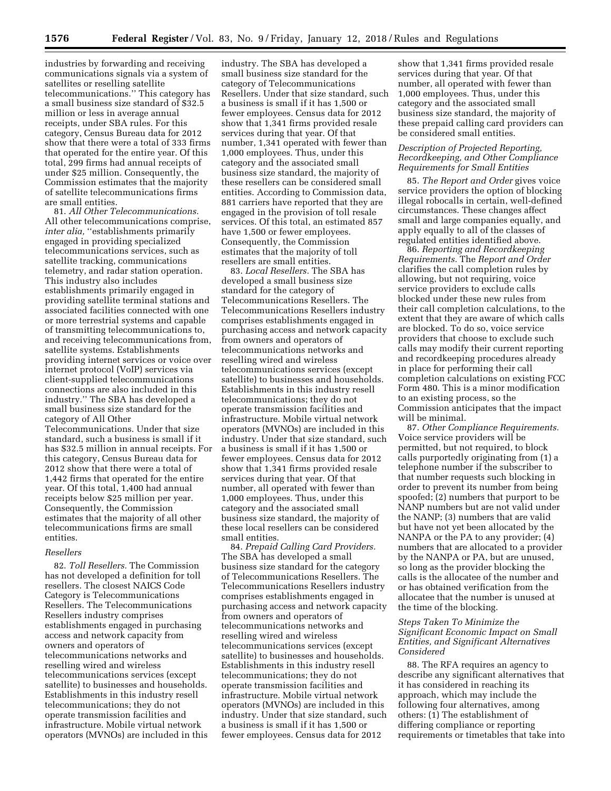industries by forwarding and receiving communications signals via a system of satellites or reselling satellite telecommunications.'' This category has a small business size standard of \$32.5 million or less in average annual receipts, under SBA rules. For this category, Census Bureau data for 2012 show that there were a total of 333 firms that operated for the entire year. Of this total, 299 firms had annual receipts of under \$25 million. Consequently, the Commission estimates that the majority of satellite telecommunications firms are small entities.

81. *All Other Telecommunications.*  All other telecommunications comprise, *inter alia,* "establishments primarily engaged in providing specialized telecommunications services, such as satellite tracking, communications telemetry, and radar station operation. This industry also includes establishments primarily engaged in providing satellite terminal stations and associated facilities connected with one or more terrestrial systems and capable of transmitting telecommunications to, and receiving telecommunications from, satellite systems. Establishments providing internet services or voice over internet protocol (VoIP) services via client-supplied telecommunications connections are also included in this industry.'' The SBA has developed a small business size standard for the category of All Other Telecommunications. Under that size standard, such a business is small if it has \$32.5 million in annual receipts. For this category, Census Bureau data for 2012 show that there were a total of 1,442 firms that operated for the entire year. Of this total, 1,400 had annual receipts below \$25 million per year. Consequently, the Commission estimates that the majority of all other telecommunications firms are small entities.

### *Resellers*

82. *Toll Resellers.* The Commission has not developed a definition for toll resellers. The closest NAICS Code Category is Telecommunications Resellers. The Telecommunications Resellers industry comprises establishments engaged in purchasing access and network capacity from owners and operators of telecommunications networks and reselling wired and wireless telecommunications services (except satellite) to businesses and households. Establishments in this industry resell telecommunications; they do not operate transmission facilities and infrastructure. Mobile virtual network operators (MVNOs) are included in this industry. The SBA has developed a small business size standard for the category of Telecommunications Resellers. Under that size standard, such a business is small if it has 1,500 or fewer employees. Census data for 2012 show that 1,341 firms provided resale services during that year. Of that number, 1,341 operated with fewer than 1,000 employees. Thus, under this category and the associated small business size standard, the majority of these resellers can be considered small entities. According to Commission data, 881 carriers have reported that they are engaged in the provision of toll resale services. Of this total, an estimated 857 have 1,500 or fewer employees. Consequently, the Commission estimates that the majority of toll resellers are small entities.

83. *Local Resellers.* The SBA has developed a small business size standard for the category of Telecommunications Resellers. The Telecommunications Resellers industry comprises establishments engaged in purchasing access and network capacity from owners and operators of telecommunications networks and reselling wired and wireless telecommunications services (except satellite) to businesses and households. Establishments in this industry resell telecommunications; they do not operate transmission facilities and infrastructure. Mobile virtual network operators (MVNOs) are included in this industry. Under that size standard, such a business is small if it has 1,500 or fewer employees. Census data for 2012 show that 1,341 firms provided resale services during that year. Of that number, all operated with fewer than 1,000 employees. Thus, under this category and the associated small business size standard, the majority of these local resellers can be considered small entities.

84. *Prepaid Calling Card Providers.*  The SBA has developed a small business size standard for the category of Telecommunications Resellers. The Telecommunications Resellers industry comprises establishments engaged in purchasing access and network capacity from owners and operators of telecommunications networks and reselling wired and wireless telecommunications services (except satellite) to businesses and households. Establishments in this industry resell telecommunications; they do not operate transmission facilities and infrastructure. Mobile virtual network operators (MVNOs) are included in this industry. Under that size standard, such a business is small if it has 1,500 or fewer employees. Census data for 2012

show that 1,341 firms provided resale services during that year. Of that number, all operated with fewer than 1,000 employees. Thus, under this category and the associated small business size standard, the majority of these prepaid calling card providers can be considered small entities.

# *Description of Projected Reporting, Recordkeeping, and Other Compliance Requirements for Small Entities*

85. *The Report and Order* gives voice service providers the option of blocking illegal robocalls in certain, well-defined circumstances. These changes affect small and large companies equally, and apply equally to all of the classes of regulated entities identified above.

86. *Reporting and Recordkeeping Requirements.* The *Report and Order*  clarifies the call completion rules by allowing, but not requiring, voice service providers to exclude calls blocked under these new rules from their call completion calculations, to the extent that they are aware of which calls are blocked. To do so, voice service providers that choose to exclude such calls may modify their current reporting and recordkeeping procedures already in place for performing their call completion calculations on existing FCC Form 480. This is a minor modification to an existing process, so the Commission anticipates that the impact will be minimal.

87. *Other Compliance Requirements.*  Voice service providers will be permitted, but not required, to block calls purportedly originating from (1) a telephone number if the subscriber to that number requests such blocking in order to prevent its number from being spoofed; (2) numbers that purport to be NANP numbers but are not valid under the NANP; (3) numbers that are valid but have not yet been allocated by the NANPA or the PA to any provider; (4) numbers that are allocated to a provider by the NANPA or PA, but are unused, so long as the provider blocking the calls is the allocatee of the number and or has obtained verification from the allocatee that the number is unused at the time of the blocking.

# *Steps Taken To Minimize the Significant Economic Impact on Small Entities, and Significant Alternatives Considered*

88. The RFA requires an agency to describe any significant alternatives that it has considered in reaching its approach, which may include the following four alternatives, among others: (1) The establishment of differing compliance or reporting requirements or timetables that take into